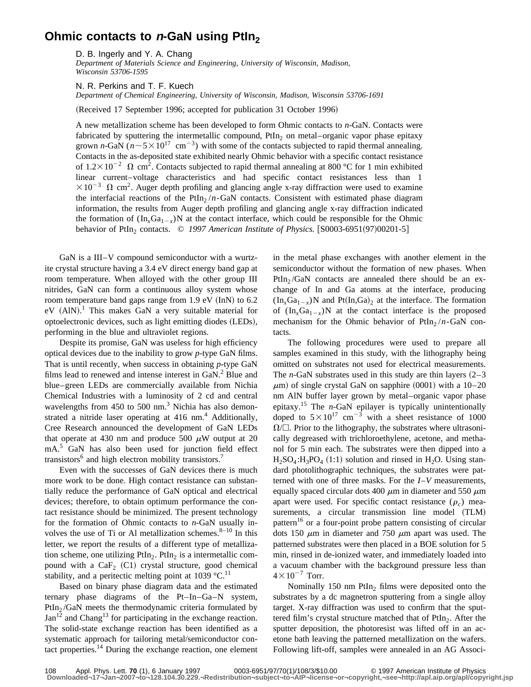## **Ohmic contacts to n-GaN using PtIn**<sub>2</sub>

D. B. Ingerly and Y. A. Chang

*Department of Materials Science and Engineering, University of Wisconsin, Madison, Wisconsin 53706-1595*

N. R. Perkins and T. F. Kuech

*Department of Chemical Engineering, University of Wisconsin, Madison, Wisconsin 53706-1691*

(Received 17 September 1996; accepted for publication 31 October 1996)

A new metallization scheme has been developed to form Ohmic contacts to *n*-GaN. Contacts were fabricated by sputtering the intermetallic compound, PtIn<sub>2</sub> on metal–organic vapor phase epitaxy grown *n*-GaN ( $n \sim 5 \times 10^{17}$  cm<sup>-3</sup>) with some of the contacts subjected to rapid thermal annealing. Contacts in the as-deposited state exhibited nearly Ohmic behavior with a specific contact resistance of  $1.2 \times 10^{-2}$   $\Omega$  cm<sup>2</sup>. Contacts subjected to rapid thermal annealing at 800 °C for 1 min exhibited linear current–voltage characteristics and had specific contact resistances less than 1  $\times 10^{-3}$   $\Omega$  cm<sup>2</sup>. Auger depth profiling and glancing angle x-ray diffraction were used to examine the interfacial reactions of the PtIn<sub>2</sub>  $/n$ -GaN contacts. Consistent with estimated phase diagram information, the results from Auger depth profiling and glancing angle x-ray diffraction indicated the formation of  $(In<sub>x</sub>Ga<sub>1-x</sub>)N$  at the contact interface, which could be responsible for the Ohmic behavior of PtIn<sub>2</sub> contacts.  $\degree$  1997 American Institute of Physics. [S0003-6951(97)00201-5]

GaN is a III–V compound semiconductor with a wurtzite crystal structure having a 3.4 eV direct energy band gap at room temperature. When alloyed with the other group III nitrides, GaN can form a continuous alloy system whose room temperature band gaps range from  $1.9 \text{ eV}$  (InN) to 6.2  $eV$  (AlN).<sup>1</sup> This makes GaN a very suitable material for optoelectronic devices, such as light emitting diodes (LEDs), performing in the blue and ultraviolet regions.

Despite its promise, GaN was useless for high efficiency optical devices due to the inability to grow *p*-type GaN films. That is until recently, when success in obtaining *p*-type GaN films lead to renewed and intense interest in  $GaN<sup>2</sup>$  Blue and blue–green LEDs are commercially available from Nichia Chemical Industries with a luminosity of 2 cd and central wavelengths from  $450$  to  $500$  nm.<sup>3</sup> Nichia has also demonstrated a nitride laser operating at  $416$  nm.<sup>4</sup> Additionally, Cree Research announced the development of GaN LEDs that operate at 430 nm and produce 500  $\mu$ W output at 20 mA.<sup>5</sup> GaN has also been used for junction field effect transistors $<sup>6</sup>$  and high electron mobility transistors.<sup>7</sup></sup>

Even with the successes of GaN devices there is much more work to be done. High contact resistance can substantially reduce the performance of GaN optical and electrical devices; therefore, to obtain optimum performance the contact resistance should be minimized. The present technology for the formation of Ohmic contacts to *n*-GaN usually involves the use of Ti or Al metallization schemes. $8-10$  In this letter, we report the results of a different type of metallization scheme, one utilizing  $PtIn_2$ .  $PtIn_2$  is a intermetallic compound with a  $CaF<sub>2</sub>$  (C1) crystal structure, good chemical stability, and a peritectic melting point at 1039  $^{\circ}$ C.<sup>11</sup>

Based on binary phase diagram data and the estimated ternary phase diagrams of the Pt–In–Ga–N system, PtIn<sub>2</sub>/GaN meets the thermodynamic criteria formulated by  $Jan<sup>12</sup>$  and Chang<sup>13</sup> for participating in the exchange reaction. The solid-state exchange reaction has been identified as a systematic approach for tailoring metal/semiconductor contact properties.<sup>14</sup> During the exchange reaction, one element in the metal phase exchanges with another element in the semiconductor without the formation of new phases. When  $PtIn_{2}/GaN$  contacts are annealed there should be an exchange of In and Ga atoms at the interface, producing  $(In<sub>x</sub>Ga<sub>1-x</sub>)N$  and  $Pt(In,Ga)<sub>2</sub>$  at the interface. The formation of  $(In_rGa_{1-x})N$  at the contact interface is the proposed mechanism for the Ohmic behavior of PtIn<sub>2</sub> /*n*-GaN contacts.

The following procedures were used to prepare all samples examined in this study, with the lithography being omitted on substrates not used for electrical measurements. The *n*-GaN substrates used in this study are thin layers  $(2-3)$  $\mu$ m) of single crystal GaN on sapphire (0001) with a 10–20 nm AlN buffer layer grown by metal–organic vapor phase epitaxy.<sup>15</sup> The *n*-GaN epilayer is typically unintentionally doped to  $5 \times 10^{17}$  cm<sup>-3</sup> with a sheet resistance of 1000  $\Omega/\square$ . Prior to the lithography, the substrates where ultrasonically degreased with trichloroethylene, acetone, and methanol for 5 min each. The substrates were then dipped into a  $H_2SO_4$ : $H_3PO_4$  (1:1) solution and rinsed in H<sub>2</sub>O. Using standard photolithographic techniques, the substrates were patterned with one of three masks. For the *I*–*V* measurements, equally spaced circular dots 400  $\mu$ m in diameter and 550  $\mu$ m apart were used. For specific contact resistance  $(\rho_c)$  measurements, a circular transmission line model (TLM) pattern<sup>16</sup> or a four-point probe pattern consisting of circular dots 150  $\mu$ m in diameter and 750  $\mu$ m apart was used. The patterned substrates were then placed in a BOE solution for 5 min, rinsed in de-ionized water, and immediately loaded into a vacuum chamber with the background pressure less than  $4\times10^{-7}$  Torr.

Nominally 150 nm  $PtIn<sub>2</sub>$  films were deposited onto the substrates by a dc magnetron sputtering from a single alloy target. X-ray diffraction was used to confirm that the sputtered film's crystal structure matched that of  $PtIn<sub>2</sub>$ . After the sputter deposition, the photoresist was lifted off in an acetone bath leaving the patterned metallization on the wafers. Following lift-off, samples were annealed in an AG Associ-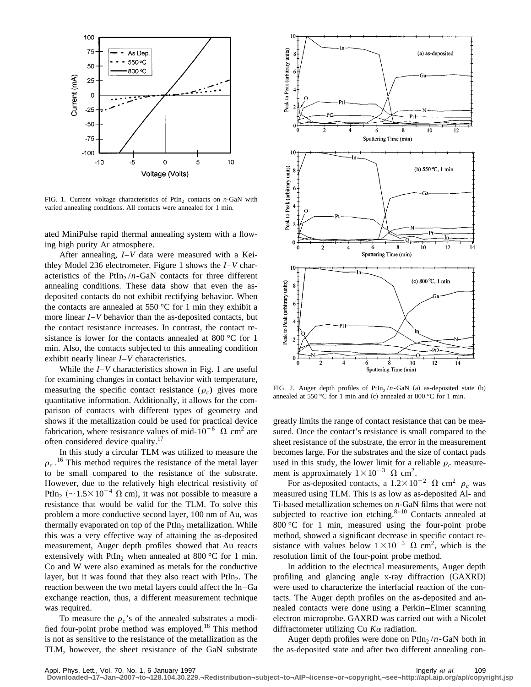

FIG. 1. Current–voltage characteristics of PtIn<sub>2</sub> contacts on  $n$ -GaN with varied annealing conditions. All contacts were annealed for 1 min.

ated MiniPulse rapid thermal annealing system with a flowing high purity Ar atmosphere.

After annealing, *I*–*V* data were measured with a Keithley Model 236 electrometer. Figure 1 shows the *I*–*V* characteristics of the PtIn<sub>2</sub>  $/n$ -GaN contacts for three different annealing conditions. These data show that even the asdeposited contacts do not exhibit rectifying behavior. When the contacts are annealed at 550 °C for 1 min they exhibit a more linear *I*–*V* behavior than the as-deposited contacts, but the contact resistance increases. In contrast, the contact resistance is lower for the contacts annealed at 800 °C for 1 min. Also, the contacts subjected to this annealing condition exhibit nearly linear *I*–*V* characteristics.

While the *I*–*V* characteristics shown in Fig. 1 are useful for examining changes in contact behavior with temperature, measuring the specific contact resistance  $(\rho_c)$  gives more quantitative information. Additionally, it allows for the comparison of contacts with different types of geometry and shows if the metallization could be used for practical device fabrication, where resistance values of mid- $10^{-6}$   $\Omega$  cm<sup>2</sup> are often considered device quality.<sup>17</sup>

In this study a circular TLM was utilized to measure the  $\rho_c$ .<sup>16</sup> This method requires the resistance of the metal layer to be small compared to the resistance of the substrate. However, due to the relatively high electrical resistivity of PtIn<sub>2</sub> ( $\sim$  1.5 $\times$  10<sup>-4</sup>  $\Omega$  cm), it was not possible to measure a resistance that would be valid for the TLM. To solve this problem a more conductive second layer, 100 nm of Au, was thermally evaporated on top of the  $PtIn<sub>2</sub>$  metallization. While this was a very effective way of attaining the as-deposited measurement, Auger depth profiles showed that Au reacts extensively with PtIn<sub>2</sub> when annealed at 800  $\degree$ C for 1 min. Co and W were also examined as metals for the conductive layer, but it was found that they also react with  $PtIn<sub>2</sub>$ . The reaction between the two metal layers could affect the In–Ga exchange reaction, thus, a different measurement technique was required.

To measure the  $\rho_c$ 's of the annealed substrates a modified four-point probe method was employed.<sup>18</sup> This method is not as sensitive to the resistance of the metallization as the TLM, however, the sheet resistance of the GaN substrate



FIG. 2. Auger depth profiles of  $PtIn<sub>2</sub>/n-GaN$  (a) as-deposited state (b) annealed at 550 °C for 1 min and (c) annealed at 800 °C for 1 min.

greatly limits the range of contact resistance that can be measured. Once the contact's resistance is small compared to the sheet resistance of the substrate, the error in the measurement becomes large. For the substrates and the size of contact pads used in this study, the lower limit for a reliable  $\rho_c$  measurement is approximately  $1 \times 10^{-3}$   $\Omega$  cm<sup>2</sup>.

For as-deposited contacts, a  $1.2 \times 10^{-2}$   $\Omega$  cm<sup>2</sup>  $\rho_c$  was measured using TLM. This is as low as as-deposited Al- and Ti-based metallization schemes on *n*-GaN films that were not subjected to reactive ion etching. $8-10$  Contacts annealed at 800 °C for 1 min, measured using the four-point probe method, showed a significant decrease in specific contact resistance with values below  $1\times10^{-3}$   $\Omega$  cm<sup>2</sup>, which is the resolution limit of the four-point probe method.

In addition to the electrical measurements, Auger depth profiling and glancing angle x-ray diffraction (GAXRD) were used to characterize the interfacial reaction of the contacts. The Auger depth profiles on the as-deposited and annealed contacts were done using a Perkin–Elmer scanning electron microprobe. GAXRD was carried out with a Nicolet diffractometer utilizing Cu *K*<sup>a</sup> radiation.

Auger depth profiles were done on  $PtIn_2/n-GaN$  both in the as-deposited state and after two different annealing con-